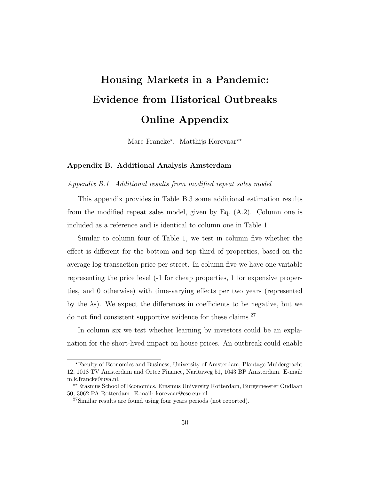# Housing Markets in a Pandemic: Evidence from Historical Outbreaks Online Appendix

Marc Francke<sup>\*</sup>, Matthijs Korevaar<sup>\*\*</sup>

## Appendix B. Additional Analysis Amsterdam

Appendix B.1. Additional results from modified repeat sales model

This appendix provides in Table B.3 some additional estimation results from the modified repeat sales model, given by Eq. (A.2). Column one is included as a reference and is identical to column one in Table 1.

Similar to column four of Table 1, we test in column five whether the effect is different for the bottom and top third of properties, based on the average log transaction price per street. In column five we have one variable representing the price level (-1 for cheap properties, 1 for expensive properties, and 0 otherwise) with time-varying effects per two years (represented by the λs). We expect the differences in coefficients to be negative, but we do not find consistent supportive evidence for these claims.<sup>27</sup>

In column six we test whether learning by investors could be an explanation for the short-lived impact on house prices. An outbreak could enable

<sup>?</sup>Faculty of Economics and Business, University of Amsterdam, Plantage Muidergracht 12, 1018 TV Amsterdam and Ortec Finance, Naritaweg 51, 1043 BP Amsterdam. E-mail: m.k.francke@uva.nl.

<sup>??</sup>Erasmus School of Economics, Erasmus University Rotterdam, Burgemeester Oudlaan 50, 3062 PA Rotterdam. E-mail: korevaar@ese.eur.nl.

<sup>&</sup>lt;sup>27</sup>Similar results are found using four years periods (not reported).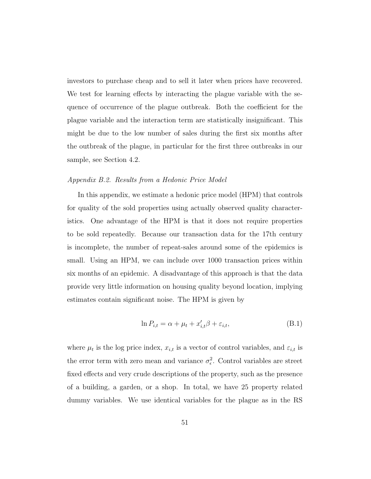investors to purchase cheap and to sell it later when prices have recovered. We test for learning effects by interacting the plague variable with the sequence of occurrence of the plague outbreak. Both the coefficient for the plague variable and the interaction term are statistically insignificant. This might be due to the low number of sales during the first six months after the outbreak of the plague, in particular for the first three outbreaks in our sample, see Section 4.2.

#### Appendix B.2. Results from a Hedonic Price Model

In this appendix, we estimate a hedonic price model (HPM) that controls for quality of the sold properties using actually observed quality characteristics. One advantage of the HPM is that it does not require properties to be sold repeatedly. Because our transaction data for the 17th century is incomplete, the number of repeat-sales around some of the epidemics is small. Using an HPM, we can include over 1000 transaction prices within six months of an epidemic. A disadvantage of this approach is that the data provide very little information on housing quality beyond location, implying estimates contain significant noise. The HPM is given by

$$
\ln P_{i,t} = \alpha + \mu_t + x'_{i,t}\beta + \varepsilon_{i,t},\tag{B.1}
$$

where  $\mu_t$  is the log price index,  $x_{i,t}$  is a vector of control variables, and  $\varepsilon_{i,t}$  is the error term with zero mean and variance  $\sigma_{\epsilon}^2$ . Control variables are street fixed effects and very crude descriptions of the property, such as the presence of a building, a garden, or a shop. In total, we have 25 property related dummy variables. We use identical variables for the plague as in the RS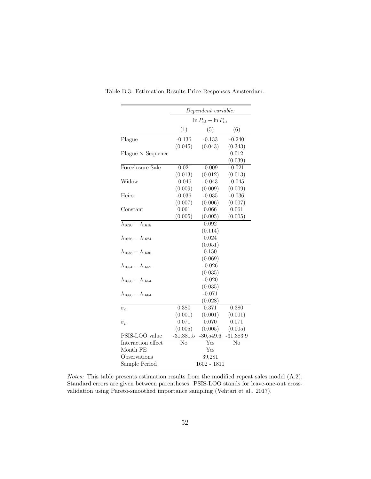|                                              | Dependent variable:         |                    |             |  |
|----------------------------------------------|-----------------------------|--------------------|-------------|--|
|                                              | $\ln P_{i,t} - \ln P_{i,s}$ |                    |             |  |
|                                              | (1)                         | (5)                | (6)         |  |
| Plague                                       | $-0.136$                    | $-0.133$           | $-0.240$    |  |
|                                              | (0.045)                     | (0.043)            | (0.343)     |  |
| $Player \times Sequence$                     |                             |                    | 0.012       |  |
|                                              |                             |                    | (0.039)     |  |
| Foreclosure Sale                             | $-0.021$                    | $-0.009$           | $-0.021$    |  |
|                                              | (0.013)                     | (0.012)            | (0.013)     |  |
| Widow                                        | $-0.046$                    | $-0.043$           | $-0.045$    |  |
|                                              | (0.009)                     | (0.009)            | (0.009)     |  |
| Heirs                                        | $-0.036$                    | $-0.035$           | $-0.036$    |  |
|                                              | (0.007)                     | (0.006)            | (0.007)     |  |
| Constant                                     | 0.061                       | 0.066              | 0.061       |  |
|                                              | (0.005)                     | (0.005)            | (0.005)     |  |
| $\overline{\lambda_{1620} - \lambda_{1618}}$ |                             | $\overline{0.09}2$ |             |  |
|                                              |                             | (0.114)            |             |  |
| $\lambda_{1626} - \lambda_{1624}$            |                             | 0.024              |             |  |
|                                              |                             | (0.051)            |             |  |
| $\lambda_{1638} - \lambda_{1636}$            |                             | 0.150              |             |  |
|                                              |                             | (0.069)            |             |  |
| $\lambda_{1654} - \lambda_{1652}$            |                             | $-0.026$           |             |  |
|                                              |                             | (0.035)            |             |  |
| $\lambda_{1656} - \lambda_{1654}$            |                             | $-0.020$           |             |  |
|                                              |                             | (0.035)            |             |  |
| $\lambda_{1666} - \lambda_{1664}$            |                             | $-0.071$           |             |  |
|                                              |                             | (0.028)            |             |  |
| $\sigma_{\varepsilon}$                       | 0.380                       | 0.371              | 0.380       |  |
|                                              | (0.001)                     | (0.001)            | (0.001)     |  |
| $\sigma_{\mu}$                               | 0.071                       | 0.070              | 0.071       |  |
|                                              | (0.005)                     | (0.005)            | (0.005)     |  |
| PSIS-LOO value                               | $-31,381.5$                 | $-30,549.6$        | $-31,383.9$ |  |
| Interaction effect                           | No                          | Yes                | No          |  |
| Month FE                                     | Yes                         |                    |             |  |
| Observations                                 | 39,281                      |                    |             |  |
| Sample Period                                | $1602 - 1811$               |                    |             |  |

Table B.3: Estimation Results Price Responses Amsterdam.

Notes: This table presents estimation results from the modified repeat sales model (A.2). Standard errors are given between parentheses. PSIS-LOO stands for leave-one-out crossvalidation using Pareto-smoothed importance sampling (Vehtari et al., 2017).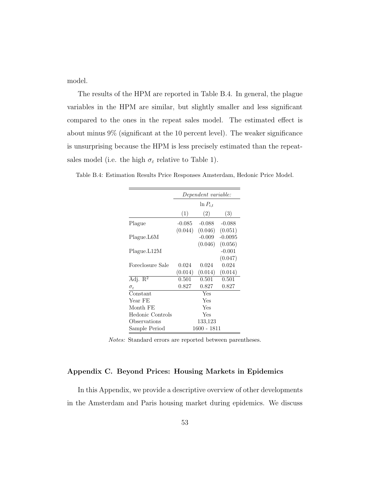model.

The results of the HPM are reported in Table B.4. In general, the plague variables in the HPM are similar, but slightly smaller and less significant compared to the ones in the repeat sales model. The estimated effect is about minus 9% (significant at the 10 percent level). The weaker significance is unsurprising because the HPM is less precisely estimated than the repeatsales model (i.e. the high  $\sigma_{\varepsilon}$  relative to Table 1).

| Dependent variable: |          |                                               |  |
|---------------------|----------|-----------------------------------------------|--|
| $\ln P_{i,t}$       |          |                                               |  |
| (1)                 | (2)      | (3)                                           |  |
|                     | $-0.088$ | $-0.088$                                      |  |
|                     |          | $(0.046)$ $(0.051)$                           |  |
|                     | $-0.009$ | $-0.0095$                                     |  |
|                     |          | (0.056)                                       |  |
|                     |          | $-0.001$                                      |  |
|                     |          | (0.047)                                       |  |
| 0.024               | 0.024    | 0.024                                         |  |
| (0.014)             | (0.014)  | (0.014)                                       |  |
| 0.501               | 0.501    | 0.501                                         |  |
| 0.827               | 0.827    | 0.827                                         |  |
|                     | Yes      |                                               |  |
|                     | Yes      |                                               |  |
|                     | Yes      |                                               |  |
|                     | Yes      |                                               |  |
|                     | 133,123  |                                               |  |
|                     |          |                                               |  |
|                     |          | $-0.085$<br>(0.044)<br>(0.046)<br>1600 - 1811 |  |

Table B.4: Estimation Results Price Responses Amsterdam, Hedonic Price Model.

Notes: Standard errors are reported between parentheses.

# Appendix C. Beyond Prices: Housing Markets in Epidemics

In this Appendix, we provide a descriptive overview of other developments in the Amsterdam and Paris housing market during epidemics. We discuss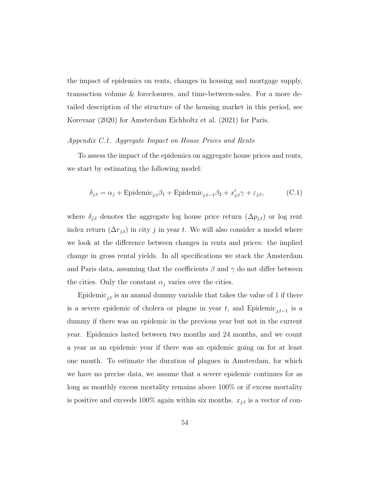the impact of epidemics on rents, changes in housing and mortgage supply, transaction volume & foreclosures, and time-between-sales. For a more detailed description of the structure of the housing market in this period, see Korevaar (2020) for Amsterdam Eichholtz et al. (2021) for Paris.

#### Appendix C.1. Aggregate Impact on House Prices and Rents

To assess the impact of the epidemics on aggregate house prices and rents, we start by estimating the following model:

$$
\delta_{j,t} = \alpha_j + \text{Epidemic}_{j,t}\beta_1 + \text{Epidemic}_{j,t-1}\beta_2 + x'_{j,t}\gamma + \varepsilon_{j,t},\tag{C.1}
$$

where  $\delta_{j,t}$  denotes the aggregate log house price return  $(\Delta p_{j,t})$  or log rent index return  $(\Delta r_{j,t})$  in city j in year t. We will also consider a model where we look at the difference between changes in rents and prices: the implied change in gross rental yields. In all specifications we stack the Amsterdam and Paris data, assuming that the coefficients  $\beta$  and  $\gamma$  do not differ between the cities. Only the constant  $\alpha_i$  varies over the cities.

Epidemic<sub>j,t</sub> is an annual dummy variable that takes the value of 1 if there is a severe epidemic of cholera or plague in year t, and Epidemic<sub>j,t−1</sub> is a dummy if there was an epidemic in the previous year but not in the current year. Epidemics lasted between two months and 24 months, and we count a year as an epidemic year if there was an epidemic going on for at least one month. To estimate the duration of plagues in Amsterdam, for which we have no precise data, we assume that a severe epidemic continues for as long as monthly excess mortality remains above 100% or if excess mortality is positive and exceeds 100% again within six months.  $x_{j,t}$  is a vector of con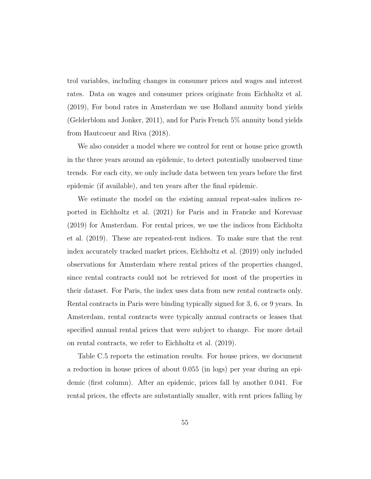trol variables, including changes in consumer prices and wages and interest rates. Data on wages and consumer prices originate from Eichholtz et al. (2019), For bond rates in Amsterdam we use Holland annuity bond yields (Gelderblom and Jonker, 2011), and for Paris French 5% annuity bond yields from Hautcoeur and Riva (2018).

We also consider a model where we control for rent or house price growth in the three years around an epidemic, to detect potentially unobserved time trends. For each city, we only include data between ten years before the first epidemic (if available), and ten years after the final epidemic.

We estimate the model on the existing annual repeat-sales indices reported in Eichholtz et al. (2021) for Paris and in Francke and Korevaar (2019) for Amsterdam. For rental prices, we use the indices from Eichholtz et al. (2019). These are repeated-rent indices. To make sure that the rent index accurately tracked market prices, Eichholtz et al. (2019) only included observations for Amsterdam where rental prices of the properties changed, since rental contracts could not be retrieved for most of the properties in their dataset. For Paris, the index uses data from new rental contracts only. Rental contracts in Paris were binding typically signed for 3, 6, or 9 years. In Amsterdam, rental contracts were typically annual contracts or leases that specified annual rental prices that were subject to change. For more detail on rental contracts, we refer to Eichholtz et al. (2019).

Table C.5 reports the estimation results. For house prices, we document a reduction in house prices of about 0.055 (in logs) per year during an epidemic (first column). After an epidemic, prices fall by another 0.041. For rental prices, the effects are substantially smaller, with rent prices falling by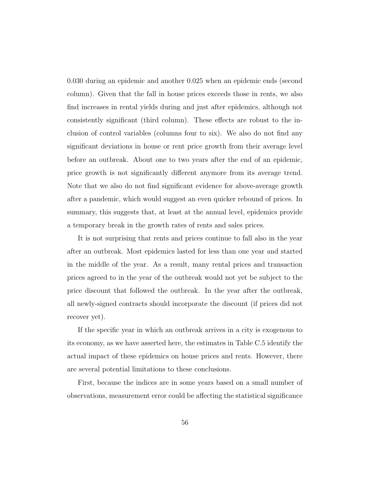0.030 during an epidemic and another 0.025 when an epidemic ends (second column). Given that the fall in house prices exceeds those in rents, we also find increases in rental yields during and just after epidemics, although not consistently significant (third column). These effects are robust to the inclusion of control variables (columns four to six). We also do not find any significant deviations in house or rent price growth from their average level before an outbreak. About one to two years after the end of an epidemic, price growth is not significantly different anymore from its average trend. Note that we also do not find significant evidence for above-average growth after a pandemic, which would suggest an even quicker rebound of prices. In summary, this suggests that, at least at the annual level, epidemics provide a temporary break in the growth rates of rents and sales prices.

It is not surprising that rents and prices continue to fall also in the year after an outbreak. Most epidemics lasted for less than one year and started in the middle of the year. As a result, many rental prices and transaction prices agreed to in the year of the outbreak would not yet be subject to the price discount that followed the outbreak. In the year after the outbreak, all newly-signed contracts should incorporate the discount (if prices did not recover yet).

If the specific year in which an outbreak arrives in a city is exogenous to its economy, as we have asserted here, the estimates in Table C.5 identify the actual impact of these epidemics on house prices and rents. However, there are several potential limitations to these conclusions.

First, because the indices are in some years based on a small number of observations, measurement error could be affecting the statistical significance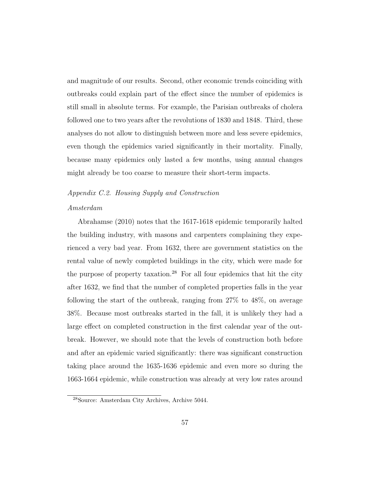and magnitude of our results. Second, other economic trends coinciding with outbreaks could explain part of the effect since the number of epidemics is still small in absolute terms. For example, the Parisian outbreaks of cholera followed one to two years after the revolutions of 1830 and 1848. Third, these analyses do not allow to distinguish between more and less severe epidemics, even though the epidemics varied significantly in their mortality. Finally, because many epidemics only lasted a few months, using annual changes might already be too coarse to measure their short-term impacts.

## Appendix C.2. Housing Supply and Construction

#### Amsterdam

Abrahamse (2010) notes that the 1617-1618 epidemic temporarily halted the building industry, with masons and carpenters complaining they experienced a very bad year. From 1632, there are government statistics on the rental value of newly completed buildings in the city, which were made for the purpose of property taxation.<sup>28</sup> For all four epidemics that hit the city after 1632, we find that the number of completed properties falls in the year following the start of the outbreak, ranging from 27% to 48%, on average 38%. Because most outbreaks started in the fall, it is unlikely they had a large effect on completed construction in the first calendar year of the outbreak. However, we should note that the levels of construction both before and after an epidemic varied significantly: there was significant construction taking place around the 1635-1636 epidemic and even more so during the 1663-1664 epidemic, while construction was already at very low rates around

<sup>28</sup>Source: Amsterdam City Archives, Archive 5044.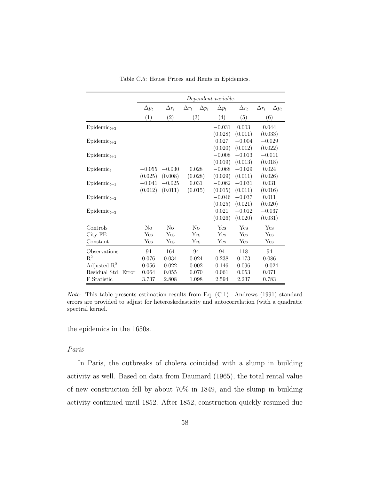|                       | Dependent variable: |              |                           |              |              |                           |
|-----------------------|---------------------|--------------|---------------------------|--------------|--------------|---------------------------|
|                       | $\Delta p_t$        | $\Delta r_t$ | $\Delta r_t - \Delta p_t$ | $\Delta p_t$ | $\Delta r_t$ | $\Delta r_t - \Delta p_t$ |
|                       | (1)                 | (2)          | (3)                       | (4)          | (5)          | (6)                       |
| $Epidemict+3$         |                     |              |                           | $-0.031$     | 0.003        | 0.044                     |
|                       |                     |              |                           | (0.028)      | (0.011)      | (0.033)                   |
| $Epidemict+2$         |                     |              |                           | 0.027        | $-0.004$     | $-0.029$                  |
|                       |                     |              |                           | (0.020)      | (0.012)      | (0.022)                   |
| $Epidemict+1$         |                     |              |                           | $-0.008$     | $-0.013$     | $-0.011$                  |
|                       |                     |              |                           | (0.019)      | (0.013)      | (0.018)                   |
| Epidemic <sub>t</sub> | $-0.055$            | $-0.030$     | 0.028                     | $-0.068$     | $-0.029$     | 0.024                     |
|                       | (0.025)             | (0.008)      | (0.028)                   | (0.029)      | (0.011)      | (0.026)                   |
| $Epidemict-1$         | $-0.041$            | $-0.025$     | 0.031                     | $-0.062$     | $-0.031$     | 0.031                     |
|                       | (0.012)             | (0.011)      | (0.015)                   | (0.015)      | (0.011)      | (0.016)                   |
| $Epidemict-2$         |                     |              |                           | $-0.046$     | $-0.037$     | 0.011                     |
|                       |                     |              |                           | (0.025)      | (0.021)      | (0.020)                   |
| $Epidemict-3$         |                     |              |                           | 0.021        | $-0.012$     | $-0.037$                  |
|                       |                     |              |                           | (0.026)      | (0.020)      | (0.031)                   |
| Controls              | No                  | $\rm No$     | $\rm No$                  | Yes          | Yes          | Yes                       |
| City FE               | Yes                 | Yes          | Yes                       | Yes          | Yes          | Yes                       |
| Constant              | Yes                 | Yes          | Yes                       | Yes          | Yes          | Yes                       |
| Observations          | 94                  | 164          | 94                        | 94           | 118          | 94                        |
| $\mathbf{R}^2$        | 0.076               | 0.034        | 0.024                     | 0.238        | 0.173        | 0.086                     |
| Adjusted $R^2$        | 0.056               | 0.022        | 0.002                     | 0.146        | 0.096        | $-0.024$                  |
| Residual Std. Error   | 0.064               | 0.055        | 0.070                     | 0.061        | 0.053        | 0.071                     |
| F Statistic           | 3.737               | 2.808        | 1.098                     | 2.594        | 2.237        | 0.783                     |

Table C.5: House Prices and Rents in Epidemics.

Note: This table presents estimation results from Eq. (C.1). Andrews (1991) standard errors are provided to adjust for heteroskedasticity and autocorrelation (with a quadratic spectral kernel.

the epidemics in the 1650s.

# Paris

In Paris, the outbreaks of cholera coincided with a slump in building activity as well. Based on data from Daumard (1965), the total rental value of new construction fell by about 70% in 1849, and the slump in building activity continued until 1852. After 1852, construction quickly resumed due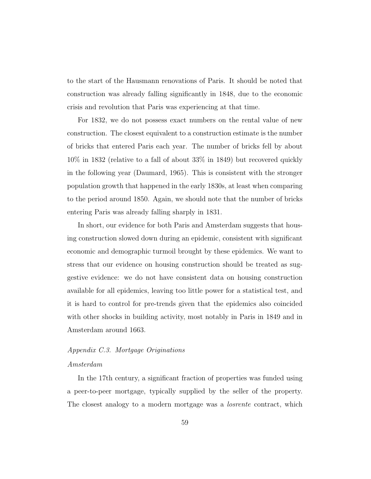to the start of the Hausmann renovations of Paris. It should be noted that construction was already falling significantly in 1848, due to the economic crisis and revolution that Paris was experiencing at that time.

For 1832, we do not possess exact numbers on the rental value of new construction. The closest equivalent to a construction estimate is the number of bricks that entered Paris each year. The number of bricks fell by about 10% in 1832 (relative to a fall of about 33% in 1849) but recovered quickly in the following year (Daumard, 1965). This is consistent with the stronger population growth that happened in the early 1830s, at least when comparing to the period around 1850. Again, we should note that the number of bricks entering Paris was already falling sharply in 1831.

In short, our evidence for both Paris and Amsterdam suggests that housing construction slowed down during an epidemic, consistent with significant economic and demographic turmoil brought by these epidemics. We want to stress that our evidence on housing construction should be treated as suggestive evidence: we do not have consistent data on housing construction available for all epidemics, leaving too little power for a statistical test, and it is hard to control for pre-trends given that the epidemics also coincided with other shocks in building activity, most notably in Paris in 1849 and in Amsterdam around 1663.

## Appendix C.3. Mortgage Originations

#### Amsterdam

In the 17th century, a significant fraction of properties was funded using a peer-to-peer mortgage, typically supplied by the seller of the property. The closest analogy to a modern mortgage was a *losrente* contract, which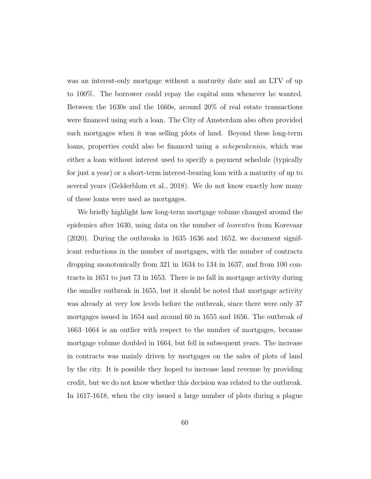was an interest-only mortgage without a maturity date and an LTV of up to 100%. The borrower could repay the capital sum whenever he wanted. Between the 1630s and the 1660s, around 20% of real estate transactions were financed using such a loan. The City of Amsterdam also often provided such mortgages when it was selling plots of land. Beyond these long-term loans, properties could also be financed using a schepenkennis, which was either a loan without interest used to specify a payment schedule (typically for just a year) or a short-term interest-bearing loan with a maturity of up to several years (Gelderblom et al., 2018). We do not know exactly how many of these loans were used as mortgages.

We briefly highlight how long-term mortgage volume changed around the epidemics after 1630, using data on the number of losrenten from Korevaar (2020). During the outbreaks in 1635–1636 and 1652, we document significant reductions in the number of mortgages, with the number of contracts dropping monotonically from 321 in 1634 to 134 in 1637, and from 100 contracts in 1651 to just 73 in 1653. There is no fall in mortgage activity during the smaller outbreak in 1655, but it should be noted that mortgage activity was already at very low levels before the outbreak, since there were only 37 mortgages issued in 1654 and around 60 in 1655 and 1656. The outbreak of 1663–1664 is an outlier with respect to the number of mortgages, because mortgage volume doubled in 1664, but fell in subsequent years. The increase in contracts was mainly driven by mortgages on the sales of plots of land by the city. It is possible they hoped to increase land revenue by providing credit, but we do not know whether this decision was related to the outbreak. In 1617-1618, when the city issued a large number of plots during a plague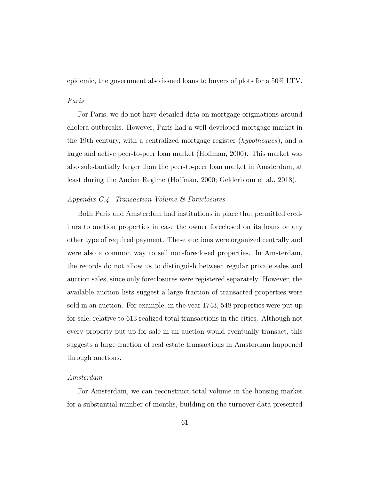epidemic, the government also issued loans to buyers of plots for a 50% LTV.

#### Paris

For Paris, we do not have detailed data on mortgage originations around cholera outbreaks. However, Paris had a well-developed mortgage market in the 19th century, with a centralized mortgage register (hypotheques), and a large and active peer-to-peer loan market (Hoffman, 2000). This market was also substantially larger than the peer-to-peer loan market in Amsterdam, at least during the Ancien Regime (Hoffman, 2000; Gelderblom et al., 2018).

## Appendix C.4. Transaction Volume & Foreclosures

Both Paris and Amsterdam had institutions in place that permitted creditors to auction properties in case the owner foreclosed on its loans or any other type of required payment. These auctions were organized centrally and were also a common way to sell non-foreclosed properties. In Amsterdam, the records do not allow us to distinguish between regular private sales and auction sales, since only foreclosures were registered separately. However, the available auction lists suggest a large fraction of transacted properties were sold in an auction. For example, in the year 1743, 548 properties were put up for sale, relative to 613 realized total transactions in the cities. Although not every property put up for sale in an auction would eventually transact, this suggests a large fraction of real estate transactions in Amsterdam happened through auctions.

#### Amsterdam

For Amsterdam, we can reconstruct total volume in the housing market for a substantial number of months, building on the turnover data presented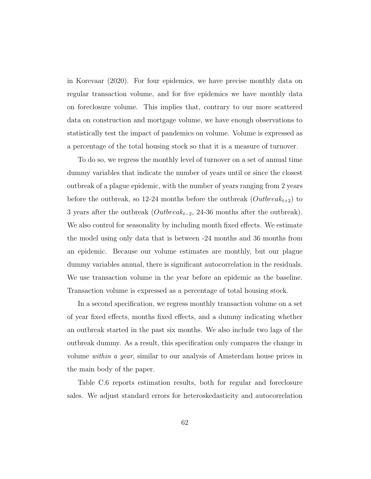in Korevaar (2020). For four epidemics, we have precise monthly data on regular transaction volume, and for five epidemics we have monthly data on foreclosure volume. This implies that, contrary to our more scattered data on construction and mortgage volume, we have enough observations to statistically test the impact of pandemics on volume. Volume is expressed as a percentage of the total housing stock so that it is a measure of turnover.

To do so, we regress the monthly level of turnover on a set of annual time dummy variables that indicate the number of years until or since the closest outbreak of a plague epidemic, with the number of years ranging from 2 years before the outbreak, so 12-24 months before the outbreak  $(Outbreak_{t+2})$  to 3 years after the outbreak  $(Outbreak_{t-2}, 24-36 \text{ months after the outbreak}).$ We also control for seasonality by including month fixed effects. We estimate the model using only data that is between -24 months and 36 months from an epidemic. Because our volume estimates are monthly, but our plague dummy variables annual, there is significant autocorrelation in the residuals. We use transaction volume in the year before an epidemic as the baseline. Transaction volume is expressed as a percentage of total housing stock.

In a second specification, we regress monthly transaction volume on a set of year fixed effects, months fixed effects, and a dummy indicating whether an outbreak started in the past six months. We also include two lags of the outbreak dummy. As a result, this specification only compares the change in volume within a year, similar to our analysis of Amsterdam house prices in the main body of the paper.

Table C.6 reports estimation results, both for regular and foreclosure sales. We adjust standard errors for heteroskedasticity and autocorrelation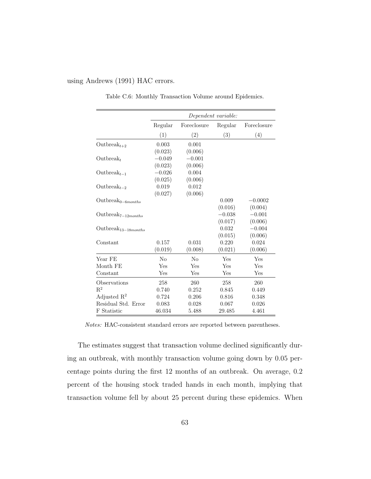#### using Andrews (1991) HAC errors.

|                                      | Dependent variable: |             |          |             |
|--------------------------------------|---------------------|-------------|----------|-------------|
|                                      | Regular             | Foreclosure | Regular  | Foreclosure |
|                                      | (1)                 | (2)         | (3)      | (4)         |
| Outbreak $_{t+2}$                    | 0.003               | 0.001       |          |             |
|                                      | (0.023)             | (0.006)     |          |             |
| $\mathrm{Outbreak}_{t}$              | $-0.049$            | $-0.001$    |          |             |
|                                      | (0.023)             | (0.006)     |          |             |
| Outbreak <sub><math>t-1</math></sub> | $-0.026$            | 0.004       |          |             |
|                                      | (0.025)             | (0.006)     |          |             |
| Outbreak $_{t=2}$                    | 0.019               | 0.012       |          |             |
|                                      | (0.027)             | (0.006)     |          |             |
| Outbreak <sub>0-6months</sub>        |                     |             | 0.009    | $-0.0002$   |
|                                      |                     |             | (0.016)  | (0.004)     |
| Outbreak $_{7-12 months}$            |                     |             | $-0.038$ | $-0.001$    |
|                                      |                     |             | (0.017)  | (0.006)     |
| Outbreak <sub>13-18</sub> months     |                     |             | 0.032    | $-0.004$    |
|                                      |                     |             | (0.015)  | (0.006)     |
| Constant                             | 0.157               | 0.031       | 0.220    | 0.024       |
|                                      | (0.019)             | (0.008)     | (0.021)  | (0.006)     |
| Year FE                              | No                  | $\rm No$    | Yes      | Yes         |
| Month FE                             | Yes                 | Yes         | Yes      | Yes         |
| Constant                             | Yes                 | Yes         | Yes      | Yes         |
| Observations                         | 258                 | 260         | 258      | 260         |
| $R^2$                                | 0.740               | 0.252       | 0.845    | 0.449       |
| Adjusted $R^2$                       | 0.724               | 0.206       | 0.816    | 0.348       |
| Residual Std. Error                  | 0.083               | 0.028       | 0.067    | 0.026       |
| F Statistic                          | 46.034              | 5.488       | 29.485   | 4.461       |

Table C.6: Monthly Transaction Volume around Epidemics.

Notes: HAC-consistent standard errors are reported between parentheses.

The estimates suggest that transaction volume declined significantly during an outbreak, with monthly transaction volume going down by 0.05 percentage points during the first 12 months of an outbreak. On average, 0.2 percent of the housing stock traded hands in each month, implying that transaction volume fell by about 25 percent during these epidemics. When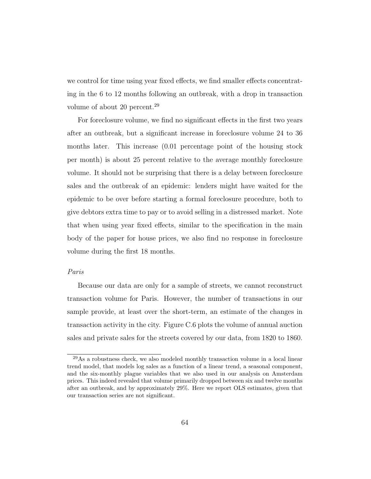we control for time using year fixed effects, we find smaller effects concentrating in the 6 to 12 months following an outbreak, with a drop in transaction volume of about 20 percent.<sup>29</sup>

For foreclosure volume, we find no significant effects in the first two years after an outbreak, but a significant increase in foreclosure volume 24 to 36 months later. This increase (0.01 percentage point of the housing stock per month) is about 25 percent relative to the average monthly foreclosure volume. It should not be surprising that there is a delay between foreclosure sales and the outbreak of an epidemic: lenders might have waited for the epidemic to be over before starting a formal foreclosure procedure, both to give debtors extra time to pay or to avoid selling in a distressed market. Note that when using year fixed effects, similar to the specification in the main body of the paper for house prices, we also find no response in foreclosure volume during the first 18 months.

## Paris

Because our data are only for a sample of streets, we cannot reconstruct transaction volume for Paris. However, the number of transactions in our sample provide, at least over the short-term, an estimate of the changes in transaction activity in the city. Figure C.6 plots the volume of annual auction sales and private sales for the streets covered by our data, from 1820 to 1860.

<sup>29</sup>As a robustness check, we also modeled monthly transaction volume in a local linear trend model, that models log sales as a function of a linear trend, a seasonal component, and the six-monthly plague variables that we also used in our analysis on Amsterdam prices. This indeed revealed that volume primarily dropped between six and twelve months after an outbreak, and by approximately 29%. Here we report OLS estimates, given that our transaction series are not significant.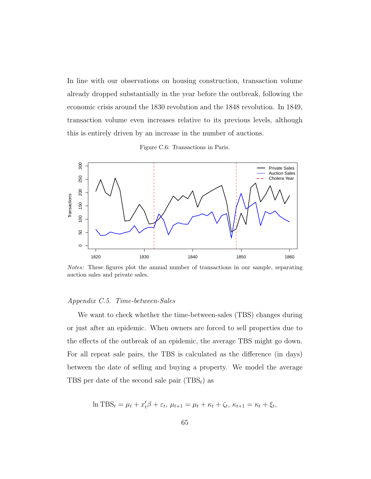In line with our observations on housing construction, transaction volume already dropped substantially in the year before the outbreak, following the economic crisis around the 1830 revolution and the 1848 revolution. In 1849, transaction volume even increases relative to its previous levels, although this is entirely driven by an increase in the number of auctions.



Figure C.6: Transactions in Paris.

Notes: These figures plot the annual number of transactions in our sample, separating auction sales and private sales.

#### Appendix C.5. Time-between-Sales

We want to check whether the time-between-sales (TBS) changes during or just after an epidemic. When owners are forced to sell properties due to the effects of the outbreak of an epidemic, the average TBS might go down. For all repeat sale pairs, the TBS is calculated as the difference (in days) between the date of selling and buying a property. We model the average TBS per date of the second sale pair  $(TBS_t)$  as

$$
\ln \text{TBS}_t = \mu_t + x_t'\beta + \varepsilon_t, \ \mu_{t+1} = \mu_t + \kappa_t + \zeta_t, \ \kappa_{t+1} = \kappa_t + \xi_t,
$$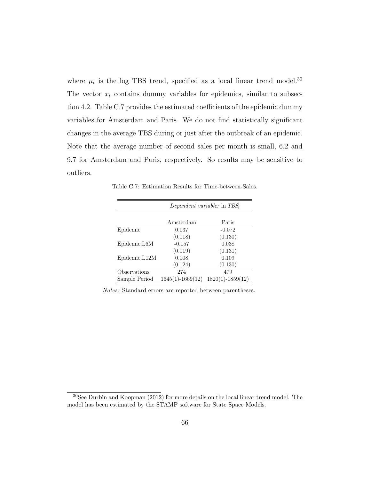where  $\mu_t$  is the log TBS trend, specified as a local linear trend model.<sup>30</sup> The vector  $x_t$  contains dummy variables for epidemics, similar to subsection 4.2. Table C.7 provides the estimated coefficients of the epidemic dummy variables for Amsterdam and Paris. We do not find statistically significant changes in the average TBS during or just after the outbreak of an epidemic. Note that the average number of second sales per month is small, 6.2 and 9.7 for Amsterdam and Paris, respectively. So results may be sensitive to outliers.

|               | Dependent variable: $\ln TBS_t$ |                      |  |
|---------------|---------------------------------|----------------------|--|
|               |                                 |                      |  |
|               | Amsterdam                       | Paris                |  |
| Epidemic      | 0.037                           | $-0.072$             |  |
|               | (0.118)                         | (0.130)              |  |
| Epidemic.L6M  | $-0.157$                        | 0.038                |  |
|               | (0.119)                         | (0.131)              |  |
| Epidemic.L12M | 0.108                           | 0.109                |  |
|               | (0.124)                         | (0.130)              |  |
| Observations  | 274                             | 479                  |  |
| Sample Period | $1645(1) - 1669(12)$            | $1820(1) - 1859(12)$ |  |

Table C.7: Estimation Results for Time-between-Sales.

Notes: Standard errors are reported between parentheses.

<sup>30</sup>See Durbin and Koopman (2012) for more details on the local linear trend model. The model has been estimated by the STAMP software for State Space Models.